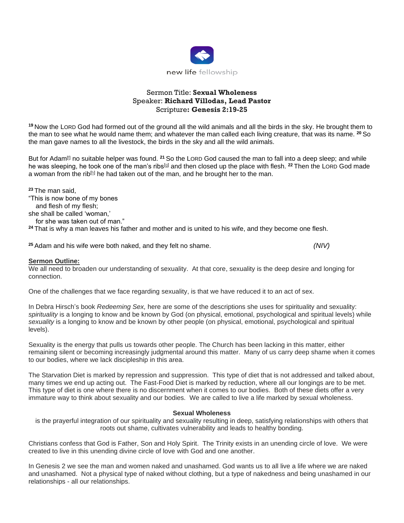

# Sermon Title: **Sexual Wholeness** Speaker: **Richard Villodas, Lead Pastor** Scripture**: Genesis 2:19-25**

**<sup>19</sup>** Now the LORD God had formed out of the ground all the wild animals and all the birds in the sky. He brought them to the man to see what he would name them; and whatever the man called each living creature, that was its name. **<sup>20</sup>** So the man gave names to all the livestock, the birds in the sky and all the wild animals.

But for Adam[\[f\]](https://www.biblegateway.com/passage/?search=genesis+2&version=NIV#fen-NIV-51f) no suitable helper was found. **<sup>21</sup>** So the LORD God caused the man to fall into a deep sleep; and while he was sleeping, he took one of the man's ribs[\[g\]](https://www.biblegateway.com/passage/?search=genesis+2&version=NIV#fen-NIV-52g) and then closed up the place with flesh. **<sup>22</sup>** Then the LORD God made a woman from the rib $[{\mathbb{h}}]$  he had taken out of the man, and he brought her to the man.

**<sup>23</sup>** The man said, "This is now bone of my bones

and flesh of my flesh;

she shall be called 'woman,'

for she was taken out of man."

**<sup>24</sup>** That is why a man leaves his father and mother and is united to his wife, and they become one flesh.

**<sup>25</sup>** Adam and his wife were both naked, and they felt no shame. *(NIV)*

### **Sermon Outline:**

We all need to broaden our understanding of sexuality. At that core, sexuality is the deep desire and longing for connection.

One of the challenges that we face regarding sexuality, is that we have reduced it to an act of sex.

In Debra Hirsch's book *Redeeming Sex,* here are some of the descriptions she uses for spirituality and sexuality: *spirituality* is a longing to know and be known by God (on physical, emotional, psychological and spiritual levels) while *sexuality* is a longing to know and be known by other people (on physical, emotional, psychological and spiritual levels).

Sexuality is the energy that pulls us towards other people. The Church has been lacking in this matter, either remaining silent or becoming increasingly judgmental around this matter. Many of us carry deep shame when it comes to our bodies, where we lack discipleship in this area.

The Starvation Diet is marked by repression and suppression. This type of diet that is not addressed and talked about, many times we end up acting out. The Fast-Food Diet is marked by reduction, where all our longings are to be met. This type of diet is one where there is no discernment when it comes to our bodies. Both of these diets offer a very immature way to think about sexuality and our bodies. We are called to live a life marked by sexual wholeness.

#### **Sexual Wholeness**

is the prayerful integration of our spirituality and sexuality resulting in deep, satisfying relationships with others that roots out shame, cultivates vulnerability and leads to healthy bonding.

Christians confess that God is Father, Son and Holy Spirit. The Trinity exists in an unending circle of love. We were created to live in this unending divine circle of love with God and one another.

In Genesis 2 we see the man and women naked and unashamed. God wants us to all live a life where we are naked and unashamed. Not a physical type of naked without clothing, but a type of nakedness and being unashamed in our relationships - all our relationships.